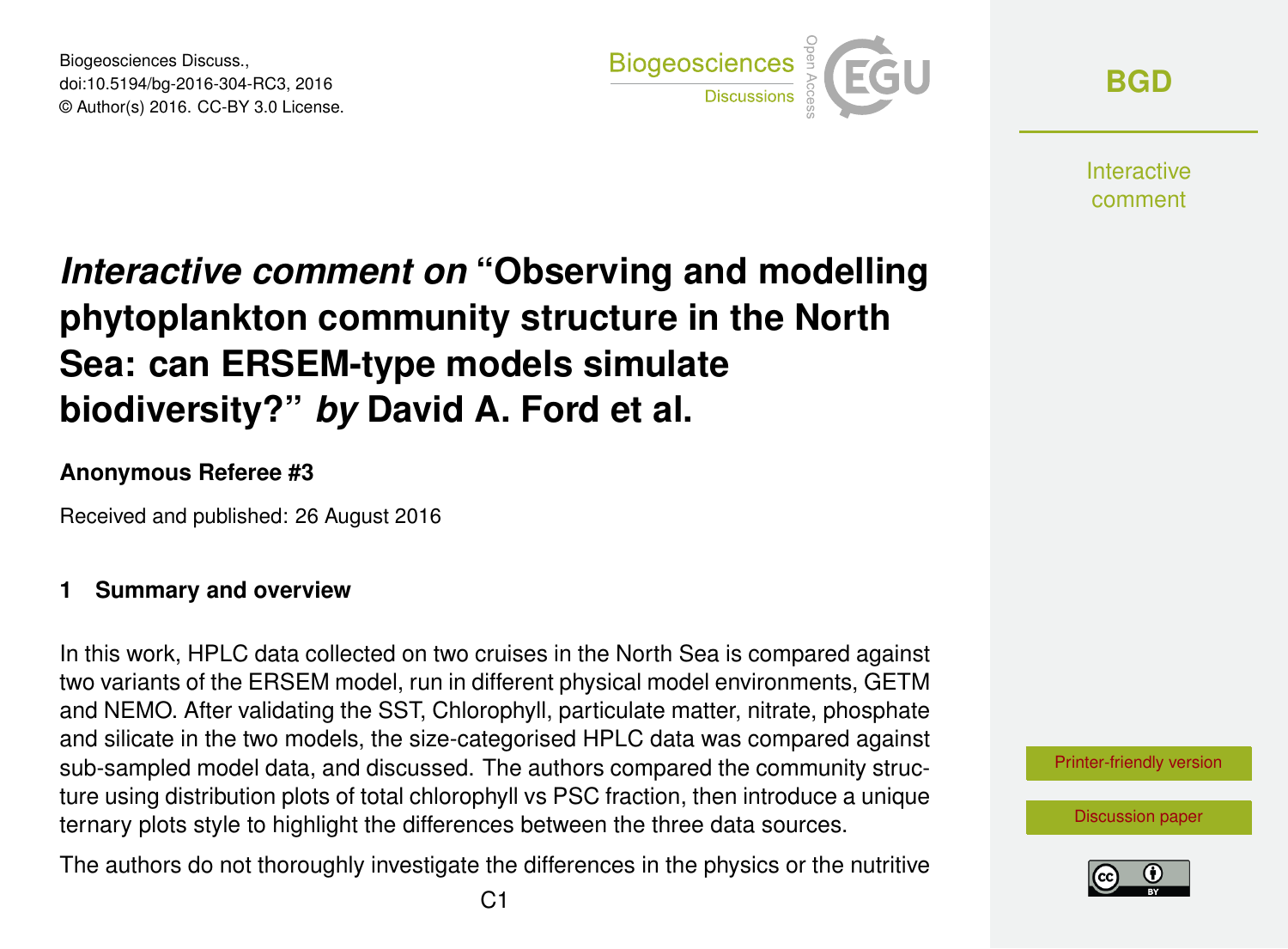Biogeosciences Discuss., doi:10.5194/bg-2016-304-RC3, 2016 © Author(s) 2016. CC-BY 3.0 License.



**[BGD](http://www.biogeosciences-discuss.net/)**

**Interactive** comment

# *Interactive comment on* **"Observing and modelling phytoplankton community structure in the North Sea: can ERSEM-type models simulate biodiversity?"** *by* **David A. Ford et al.**

#### **Anonymous Referee #3**

Received and published: 26 August 2016

#### **1 Summary and overview**

In this work, HPLC data collected on two cruises in the North Sea is compared against two variants of the ERSEM model, run in different physical model environments, GETM and NEMO. After validating the SST, Chlorophyll, particulate matter, nitrate, phosphate and silicate in the two models, the size-categorised HPLC data was compared against sub-sampled model data, and discussed. The authors compared the community structure using distribution plots of total chlorophyll vs PSC fraction, then introduce a unique ternary plots style to highlight the differences between the three data sources.

The authors do not thoroughly investigate the differences in the physics or the nutritive



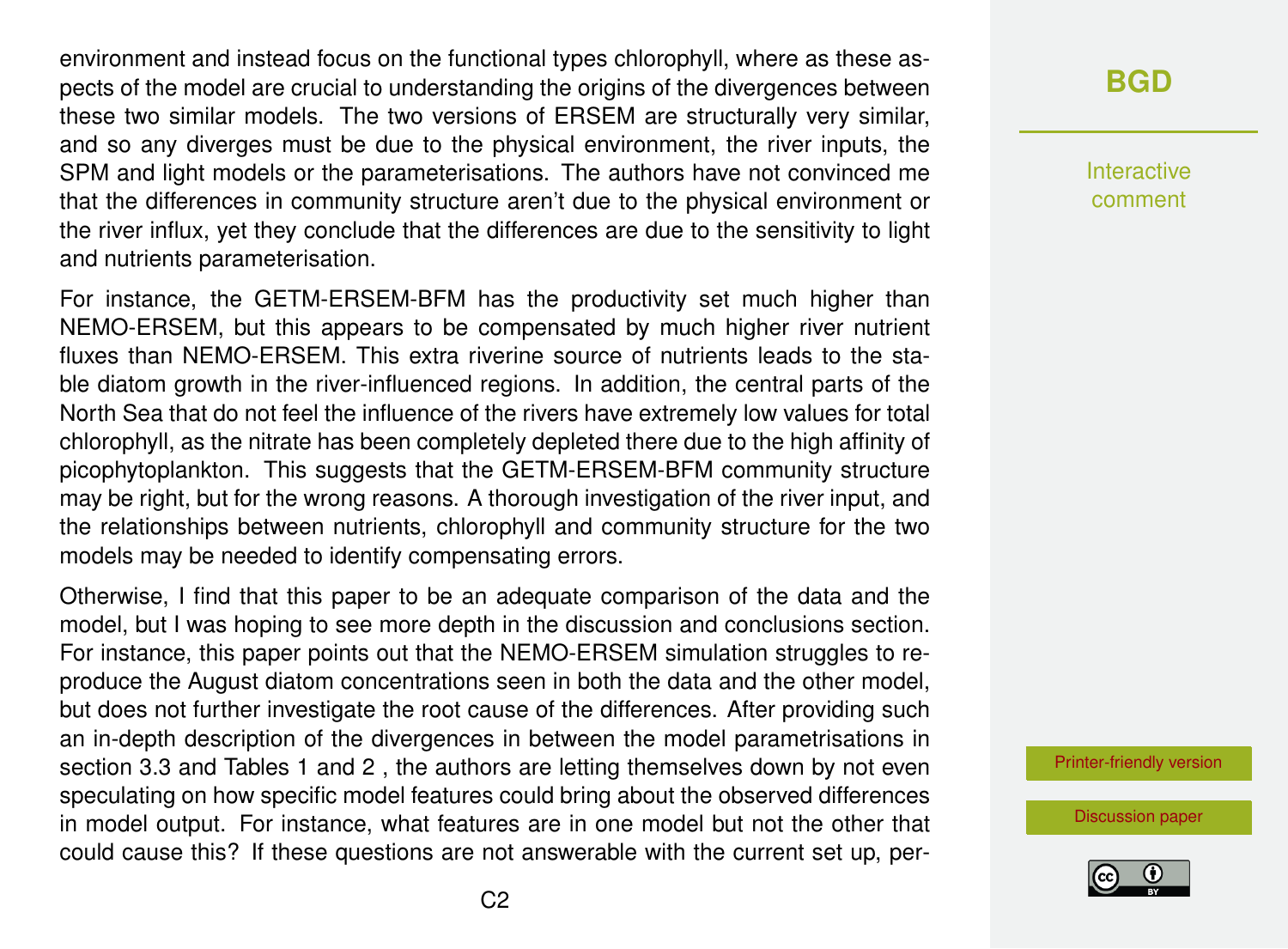environment and instead focus on the functional types chlorophyll, where as these aspects of the model are crucial to understanding the origins of the divergences between these two similar models. The two versions of ERSEM are structurally very similar, and so any diverges must be due to the physical environment, the river inputs, the SPM and light models or the parameterisations. The authors have not convinced me that the differences in community structure aren't due to the physical environment or the river influx, yet they conclude that the differences are due to the sensitivity to light and nutrients parameterisation.

For instance, the GETM-ERSEM-BFM has the productivity set much higher than NEMO-ERSEM, but this appears to be compensated by much higher river nutrient fluxes than NEMO-ERSEM. This extra riverine source of nutrients leads to the stable diatom growth in the river-influenced regions. In addition, the central parts of the North Sea that do not feel the influence of the rivers have extremely low values for total chlorophyll, as the nitrate has been completely depleted there due to the high affinity of picophytoplankton. This suggests that the GETM-ERSEM-BFM community structure may be right, but for the wrong reasons. A thorough investigation of the river input, and the relationships between nutrients, chlorophyll and community structure for the two models may be needed to identify compensating errors.

Otherwise, I find that this paper to be an adequate comparison of the data and the model, but I was hoping to see more depth in the discussion and conclusions section. For instance, this paper points out that the NEMO-ERSEM simulation struggles to reproduce the August diatom concentrations seen in both the data and the other model, but does not further investigate the root cause of the differences. After providing such an in-depth description of the divergences in between the model parametrisations in section 3.3 and Tables 1 and 2 , the authors are letting themselves down by not even speculating on how specific model features could bring about the observed differences in model output. For instance, what features are in one model but not the other that could cause this? If these questions are not answerable with the current set up, per-

# **[BGD](http://www.biogeosciences-discuss.net/)**

Interactive comment

[Printer-friendly version](http://www.biogeosciences-discuss.net/bg-2016-304/bg-2016-304-RC3-print.pdf)

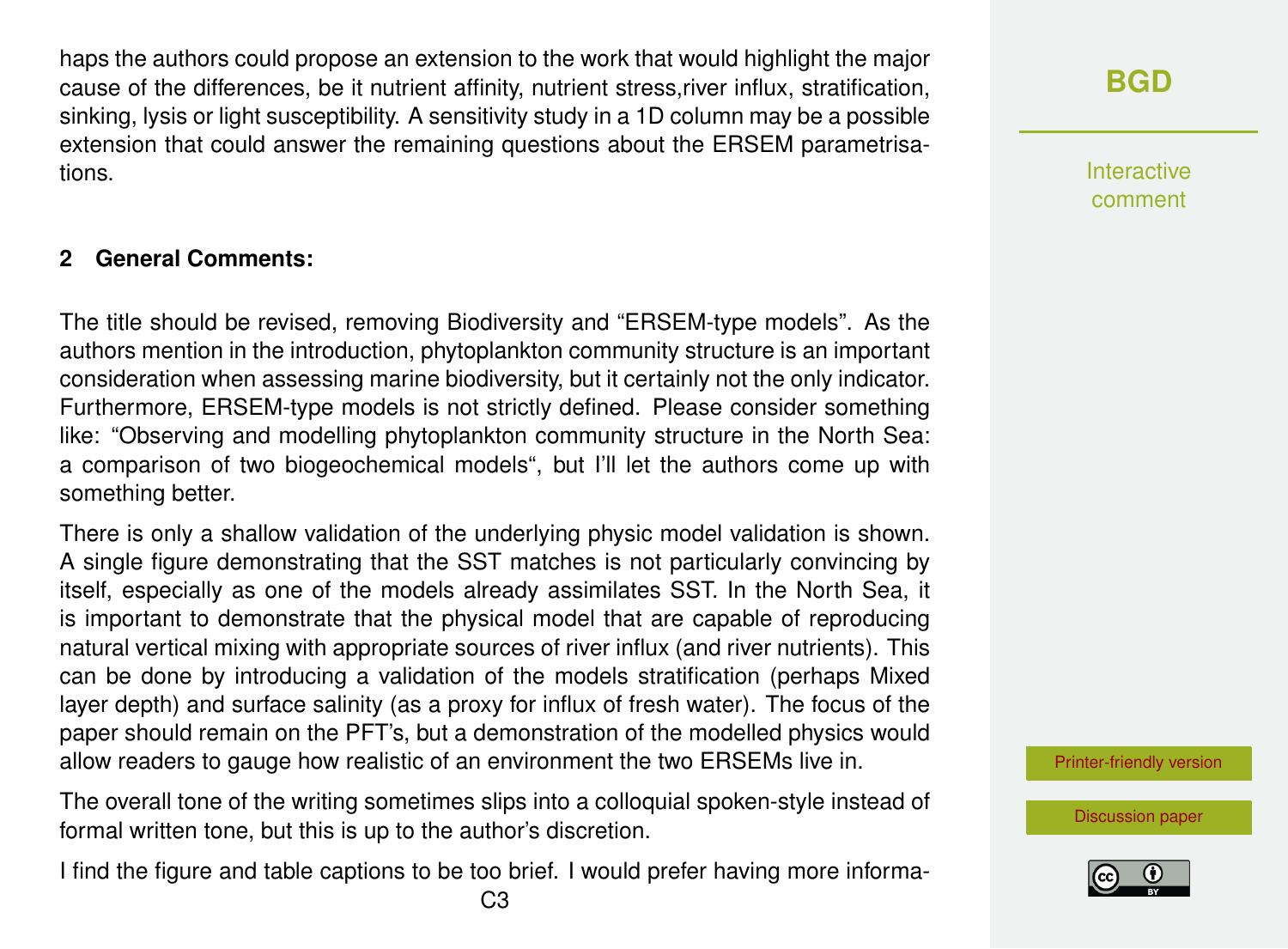haps the authors could propose an extension to the work that would highlight the major cause of the differences, be it nutrient affinity, nutrient stress,river influx, stratification, sinking, lysis or light susceptibility. A sensitivity study in a 1D column may be a possible extension that could answer the remaining questions about the ERSEM parametrisations.

## **2 General Comments:**

The title should be revised, removing Biodiversity and "ERSEM-type models". As the authors mention in the introduction, phytoplankton community structure is an important consideration when assessing marine biodiversity, but it certainly not the only indicator. Furthermore, ERSEM-type models is not strictly defined. Please consider something like: "Observing and modelling phytoplankton community structure in the North Sea: a comparison of two biogeochemical models", but I'll let the authors come up with something better.

There is only a shallow validation of the underlying physic model validation is shown. A single figure demonstrating that the SST matches is not particularly convincing by itself, especially as one of the models already assimilates SST. In the North Sea, it is important to demonstrate that the physical model that are capable of reproducing natural vertical mixing with appropriate sources of river influx (and river nutrients). This can be done by introducing a validation of the models stratification (perhaps Mixed layer depth) and surface salinity (as a proxy for influx of fresh water). The focus of the paper should remain on the PFT's, but a demonstration of the modelled physics would allow readers to gauge how realistic of an environment the two ERSEMs live in.

The overall tone of the writing sometimes slips into a colloquial spoken-style instead of formal written tone, but this is up to the author's discretion.

I find the figure and table captions to be too brief. I would prefer having more informa-

Interactive comment

[Printer-friendly version](http://www.biogeosciences-discuss.net/bg-2016-304/bg-2016-304-RC3-print.pdf)

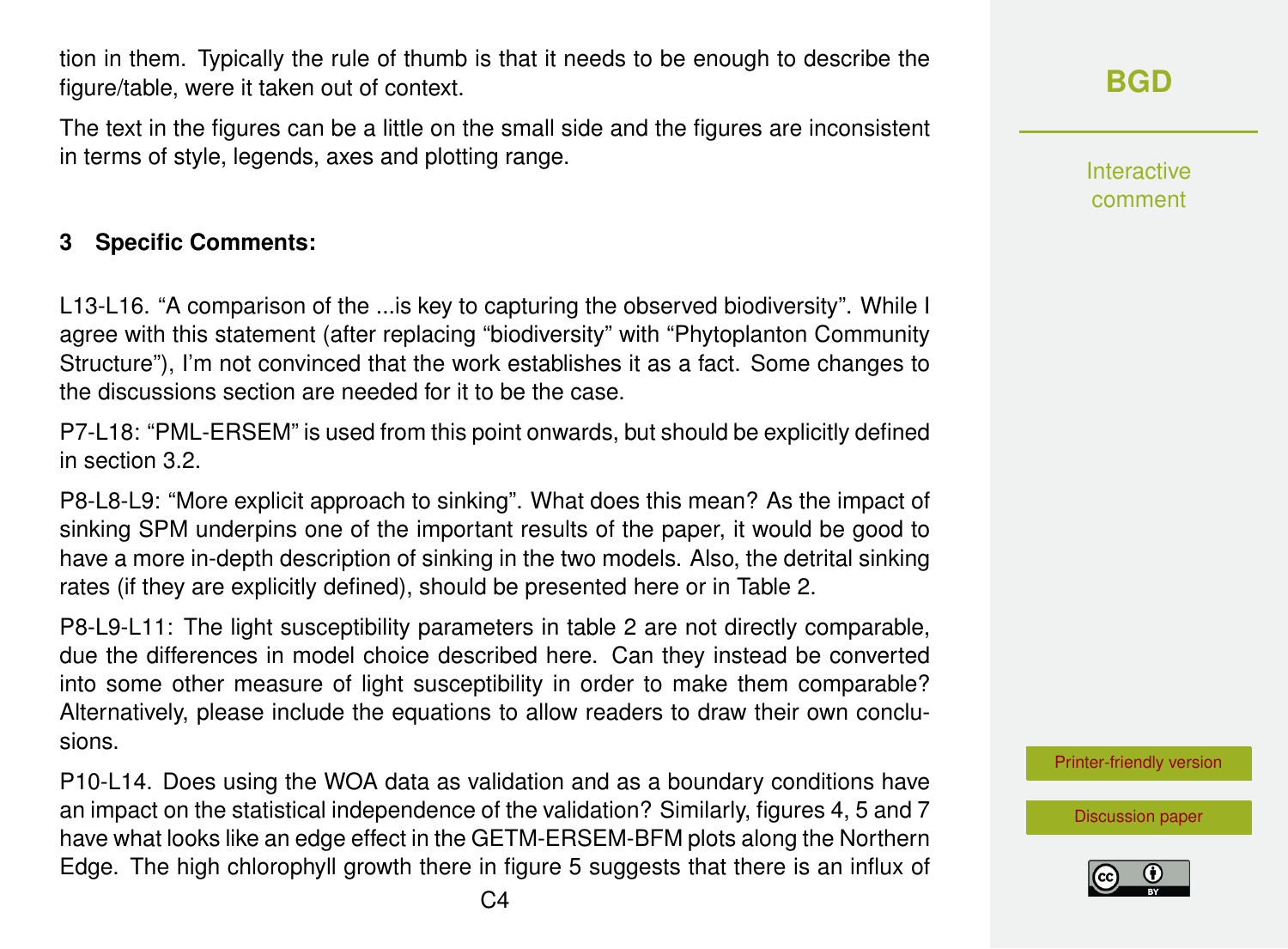tion in them. Typically the rule of thumb is that it needs to be enough to describe the figure/table, were it taken out of context.

The text in the figures can be a little on the small side and the figures are inconsistent in terms of style, legends, axes and plotting range.

## **3 Specific Comments:**

L13-L16. "A comparison of the ...is key to capturing the observed biodiversity". While I agree with this statement (after replacing "biodiversity" with "Phytoplanton Community Structure"), I'm not convinced that the work establishes it as a fact. Some changes to the discussions section are needed for it to be the case.

P7-L18: "PML-ERSEM" is used from this point onwards, but should be explicitly defined in section 3.2.

P8-L8-L9: "More explicit approach to sinking". What does this mean? As the impact of sinking SPM underpins one of the important results of the paper, it would be good to have a more in-depth description of sinking in the two models. Also, the detrital sinking rates (if they are explicitly defined), should be presented here or in Table 2.

P8-L9-L11: The light susceptibility parameters in table 2 are not directly comparable, due the differences in model choice described here. Can they instead be converted into some other measure of light susceptibility in order to make them comparable? Alternatively, please include the equations to allow readers to draw their own conclusions.

P10-L14. Does using the WOA data as validation and as a boundary conditions have an impact on the statistical independence of the validation? Similarly, figures 4, 5 and 7 have what looks like an edge effect in the GETM-ERSEM-BFM plots along the Northern Edge. The high chlorophyll growth there in figure 5 suggests that there is an influx of **[BGD](http://www.biogeosciences-discuss.net/)**

Interactive comment

[Printer-friendly version](http://www.biogeosciences-discuss.net/bg-2016-304/bg-2016-304-RC3-print.pdf)

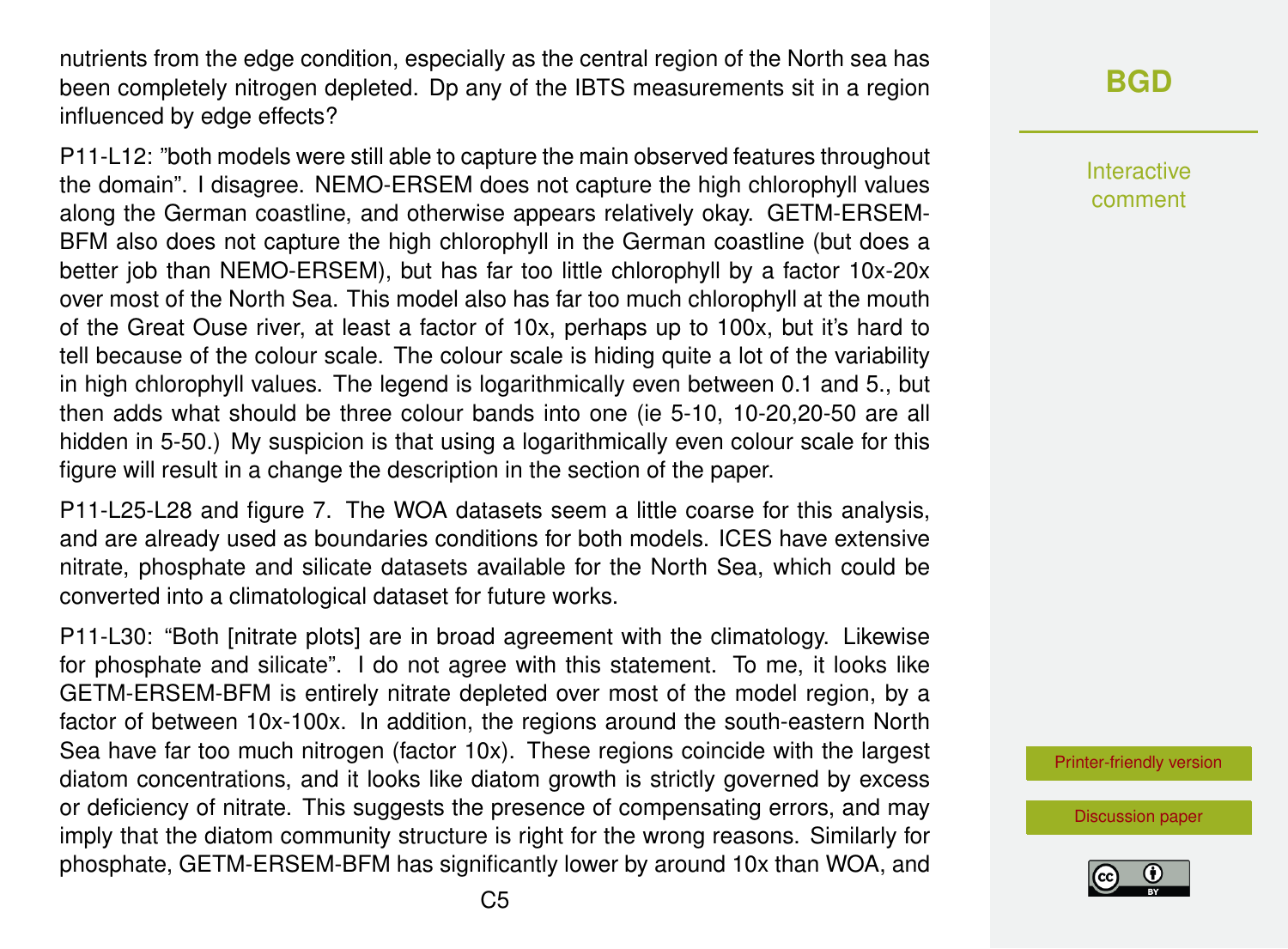nutrients from the edge condition, especially as the central region of the North sea has been completely nitrogen depleted. Dp any of the IBTS measurements sit in a region influenced by edge effects?

P11-L12: "both models were still able to capture the main observed features throughout the domain". I disagree. NEMO-ERSEM does not capture the high chlorophyll values along the German coastline, and otherwise appears relatively okay. GETM-ERSEM-BFM also does not capture the high chlorophyll in the German coastline (but does a better job than NEMO-ERSEM), but has far too little chlorophyll by a factor 10x-20x over most of the North Sea. This model also has far too much chlorophyll at the mouth of the Great Ouse river, at least a factor of 10x, perhaps up to 100x, but it's hard to tell because of the colour scale. The colour scale is hiding quite a lot of the variability in high chlorophyll values. The legend is logarithmically even between 0.1 and 5., but then adds what should be three colour bands into one (ie 5-10, 10-20,20-50 are all hidden in 5-50.) My suspicion is that using a logarithmically even colour scale for this figure will result in a change the description in the section of the paper.

P11-L25-L28 and figure 7. The WOA datasets seem a little coarse for this analysis, and are already used as boundaries conditions for both models. ICES have extensive nitrate, phosphate and silicate datasets available for the North Sea, which could be converted into a climatological dataset for future works.

P11-L30: "Both [nitrate plots] are in broad agreement with the climatology. Likewise for phosphate and silicate". I do not agree with this statement. To me, it looks like GETM-ERSEM-BFM is entirely nitrate depleted over most of the model region, by a factor of between 10x-100x. In addition, the regions around the south-eastern North Sea have far too much nitrogen (factor 10x). These regions coincide with the largest diatom concentrations, and it looks like diatom growth is strictly governed by excess or deficiency of nitrate. This suggests the presence of compensating errors, and may imply that the diatom community structure is right for the wrong reasons. Similarly for phosphate, GETM-ERSEM-BFM has significantly lower by around 10x than WOA, and **[BGD](http://www.biogeosciences-discuss.net/)**

Interactive comment

[Printer-friendly version](http://www.biogeosciences-discuss.net/bg-2016-304/bg-2016-304-RC3-print.pdf)

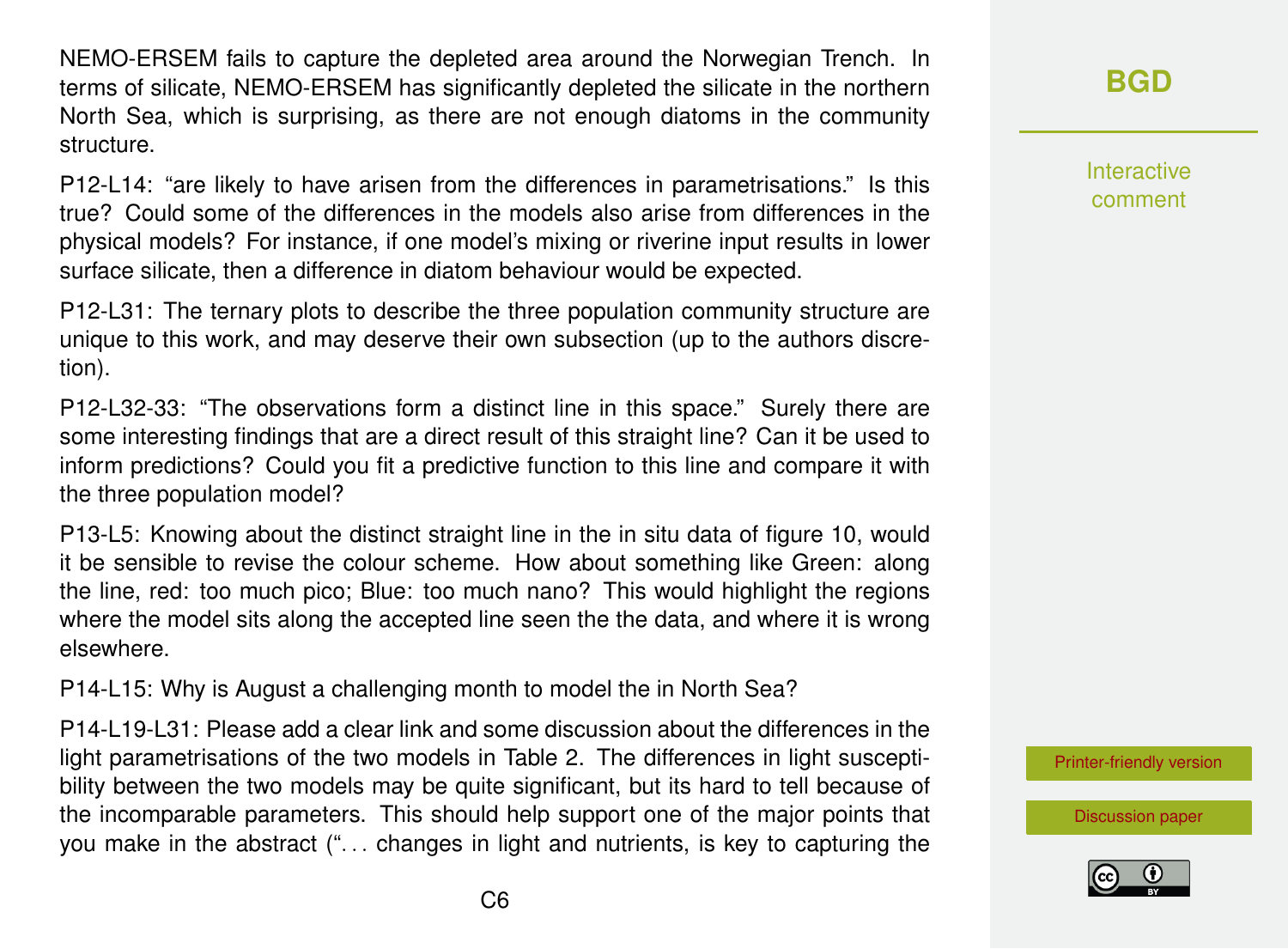NEMO-ERSEM fails to capture the depleted area around the Norwegian Trench. In terms of silicate, NEMO-ERSEM has significantly depleted the silicate in the northern North Sea, which is surprising, as there are not enough diatoms in the community structure.

P12-L14: "are likely to have arisen from the differences in parametrisations." Is this true? Could some of the differences in the models also arise from differences in the physical models? For instance, if one model's mixing or riverine input results in lower surface silicate, then a difference in diatom behaviour would be expected.

P12-L31: The ternary plots to describe the three population community structure are unique to this work, and may deserve their own subsection (up to the authors discretion).

P12-L32-33: "The observations form a distinct line in this space." Surely there are some interesting findings that are a direct result of this straight line? Can it be used to inform predictions? Could you fit a predictive function to this line and compare it with the three population model?

P13-L5: Knowing about the distinct straight line in the in situ data of figure 10, would it be sensible to revise the colour scheme. How about something like Green: along the line, red: too much pico; Blue: too much nano? This would highlight the regions where the model sits along the accepted line seen the the data, and where it is wrong elsewhere.

P14-L15: Why is August a challenging month to model the in North Sea?

P14-L19-L31: Please add a clear link and some discussion about the differences in the light parametrisations of the two models in Table 2. The differences in light susceptibility between the two models may be quite significant, but its hard to tell because of the incomparable parameters. This should help support one of the major points that you make in the abstract (". . . changes in light and nutrients, is key to capturing the **[BGD](http://www.biogeosciences-discuss.net/)**

Interactive comment

[Printer-friendly version](http://www.biogeosciences-discuss.net/bg-2016-304/bg-2016-304-RC3-print.pdf)

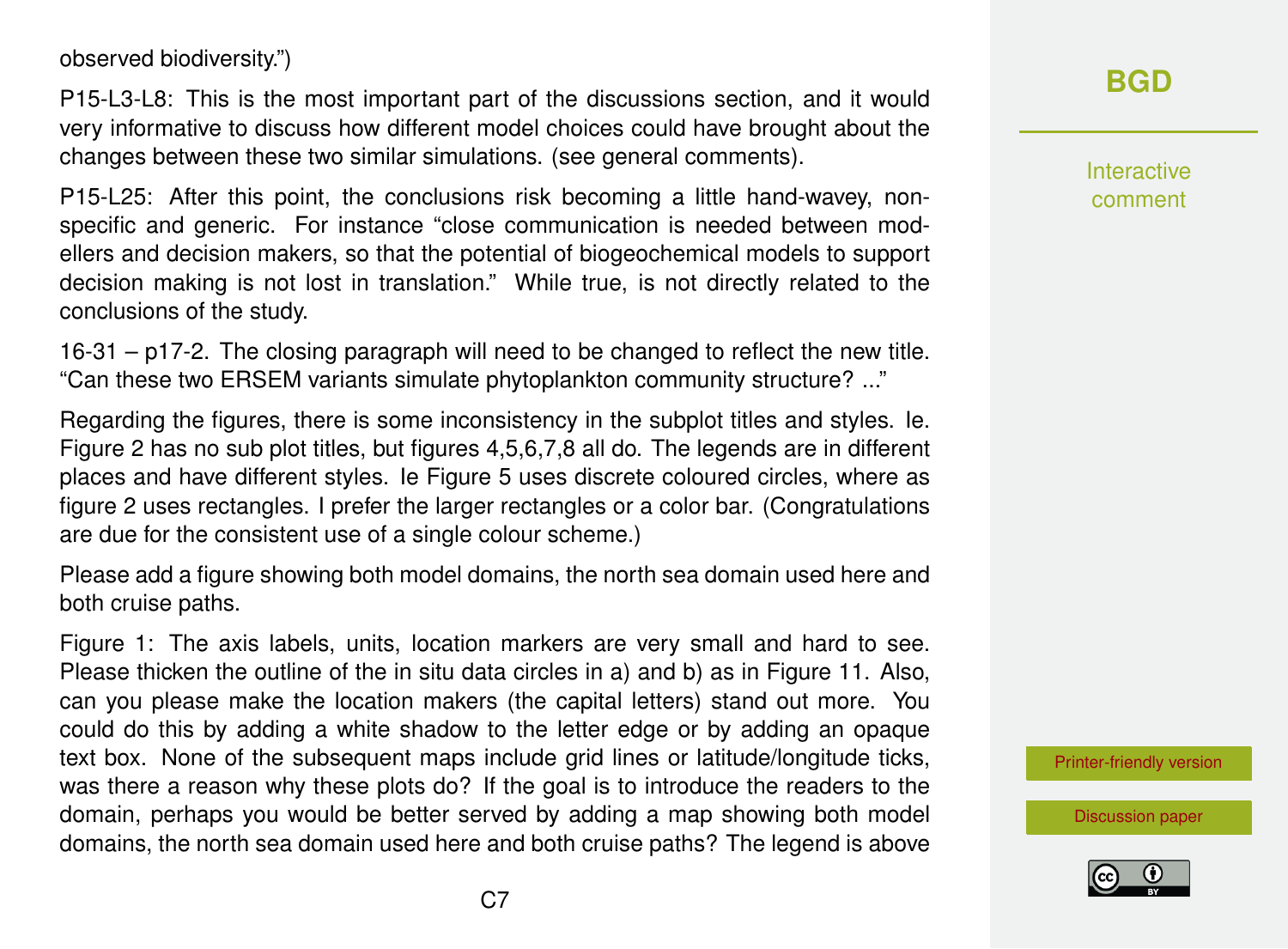observed biodiversity.")

P15-L3-L8: This is the most important part of the discussions section, and it would very informative to discuss how different model choices could have brought about the changes between these two similar simulations. (see general comments).

P15-L25: After this point, the conclusions risk becoming a little hand-wavey, nonspecific and generic. For instance "close communication is needed between modellers and decision makers, so that the potential of biogeochemical models to support decision making is not lost in translation." While true, is not directly related to the conclusions of the study.

16-31 – p17-2. The closing paragraph will need to be changed to reflect the new title. "Can these two ERSEM variants simulate phytoplankton community structure? ..."

Regarding the figures, there is some inconsistency in the subplot titles and styles. Ie. Figure 2 has no sub plot titles, but figures 4,5,6,7,8 all do. The legends are in different places and have different styles. Ie Figure 5 uses discrete coloured circles, where as figure 2 uses rectangles. I prefer the larger rectangles or a color bar. (Congratulations are due for the consistent use of a single colour scheme.)

Please add a figure showing both model domains, the north sea domain used here and both cruise paths.

Figure 1: The axis labels, units, location markers are very small and hard to see. Please thicken the outline of the in situ data circles in a) and b) as in Figure 11. Also, can you please make the location makers (the capital letters) stand out more. You could do this by adding a white shadow to the letter edge or by adding an opaque text box. None of the subsequent maps include grid lines or latitude/longitude ticks, was there a reason why these plots do? If the goal is to introduce the readers to the domain, perhaps you would be better served by adding a map showing both model domains, the north sea domain used here and both cruise paths? The legend is above **[BGD](http://www.biogeosciences-discuss.net/)**

Interactive comment

[Printer-friendly version](http://www.biogeosciences-discuss.net/bg-2016-304/bg-2016-304-RC3-print.pdf)

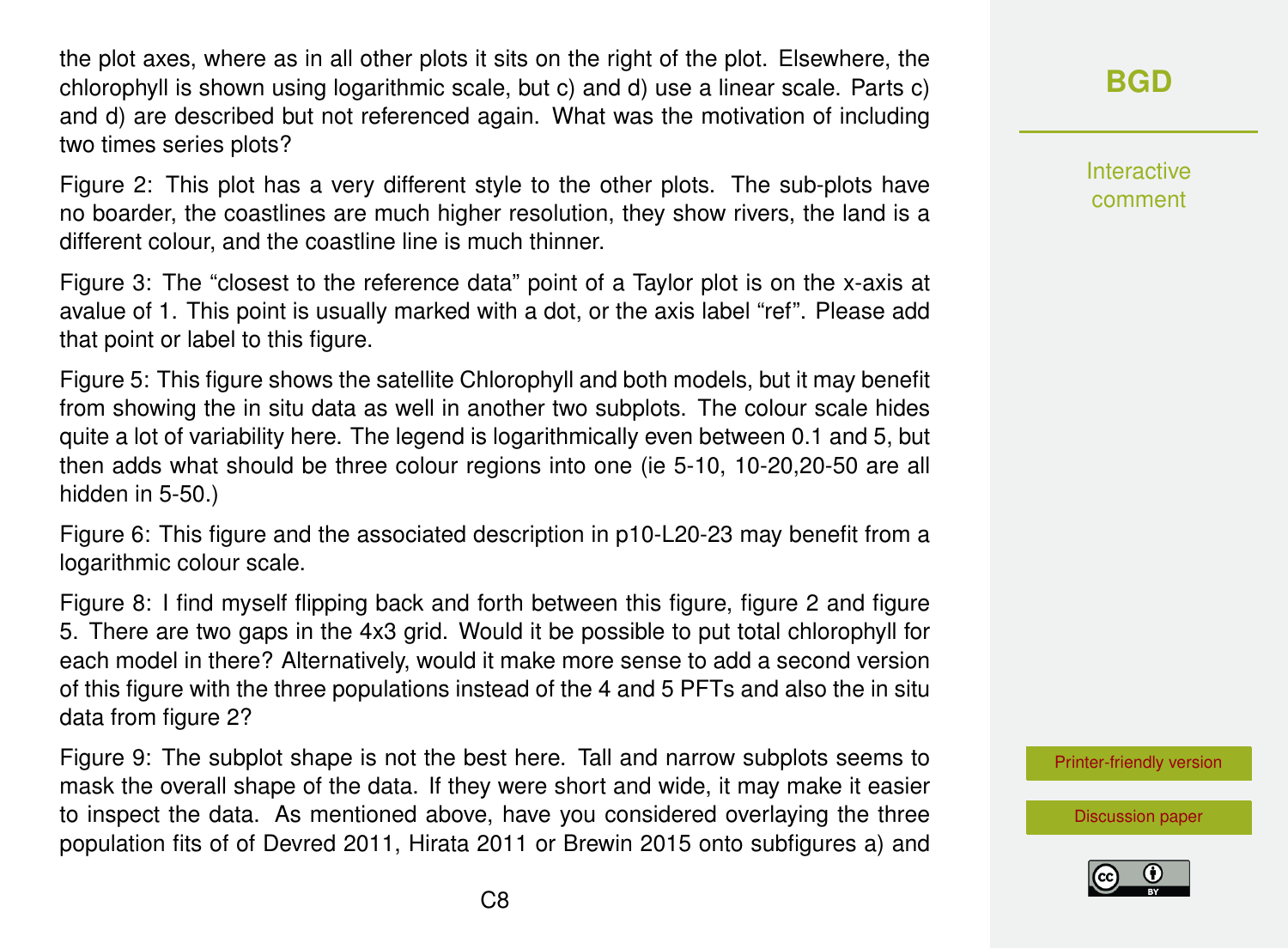the plot axes, where as in all other plots it sits on the right of the plot. Elsewhere, the chlorophyll is shown using logarithmic scale, but c) and d) use a linear scale. Parts c) and d) are described but not referenced again. What was the motivation of including two times series plots?

Figure 2: This plot has a very different style to the other plots. The sub-plots have no boarder, the coastlines are much higher resolution, they show rivers, the land is a different colour, and the coastline line is much thinner.

Figure 3: The "closest to the reference data" point of a Taylor plot is on the x-axis at avalue of 1. This point is usually marked with a dot, or the axis label "ref". Please add that point or label to this figure.

Figure 5: This figure shows the satellite Chlorophyll and both models, but it may benefit from showing the in situ data as well in another two subplots. The colour scale hides quite a lot of variability here. The legend is logarithmically even between 0.1 and 5, but then adds what should be three colour regions into one (ie 5-10, 10-20,20-50 are all hidden in 5-50.)

Figure 6: This figure and the associated description in p10-L20-23 may benefit from a logarithmic colour scale.

Figure 8: I find myself flipping back and forth between this figure, figure 2 and figure 5. There are two gaps in the 4x3 grid. Would it be possible to put total chlorophyll for each model in there? Alternatively, would it make more sense to add a second version of this figure with the three populations instead of the 4 and 5 PFTs and also the in situ data from figure 2?

Figure 9: The subplot shape is not the best here. Tall and narrow subplots seems to mask the overall shape of the data. If they were short and wide, it may make it easier to inspect the data. As mentioned above, have you considered overlaying the three population fits of of Devred 2011, Hirata 2011 or Brewin 2015 onto subfigures a) and **[BGD](http://www.biogeosciences-discuss.net/)**

Interactive comment

[Printer-friendly version](http://www.biogeosciences-discuss.net/bg-2016-304/bg-2016-304-RC3-print.pdf)

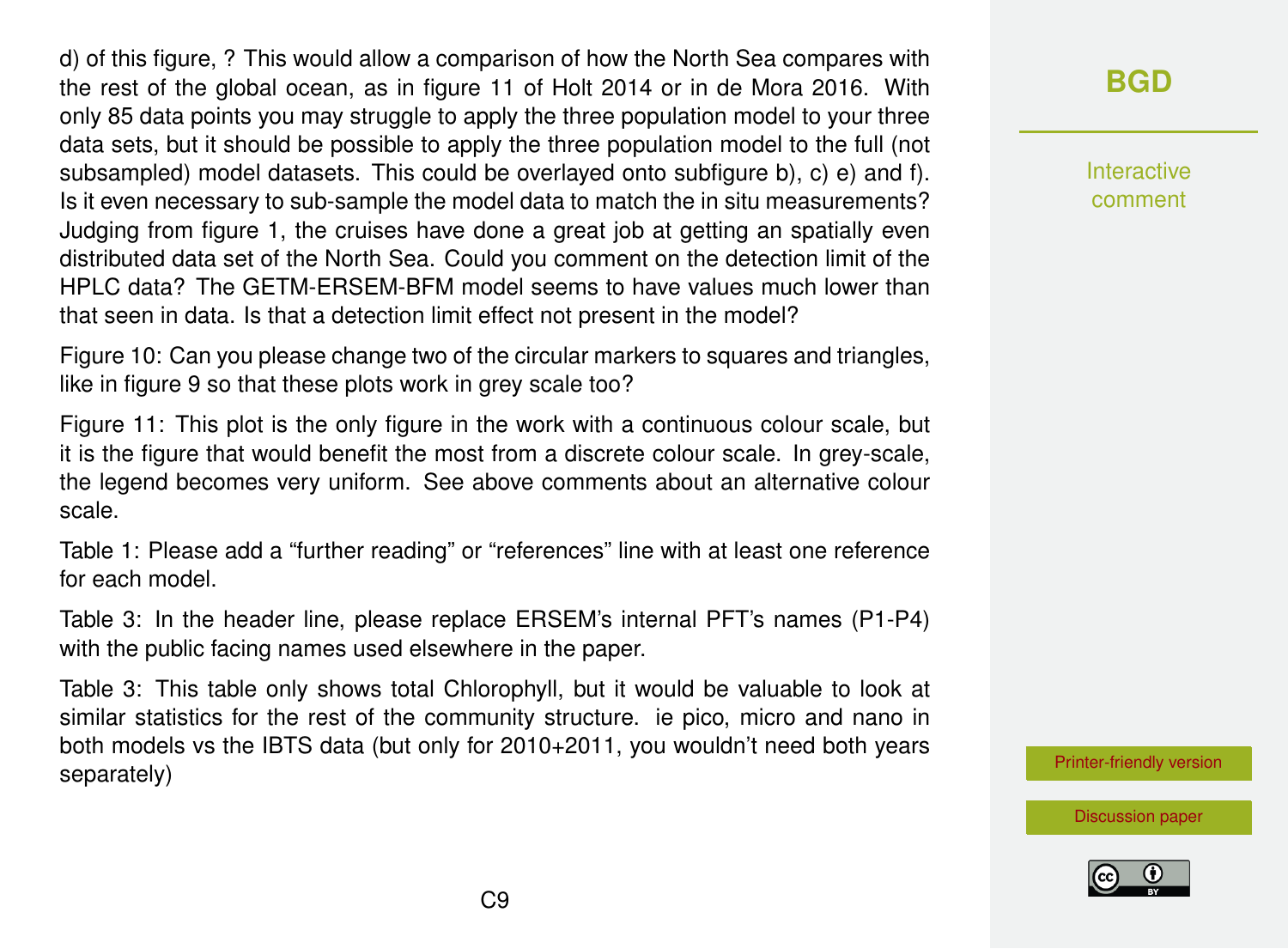d) of this figure, ? This would allow a comparison of how the North Sea compares with the rest of the global ocean, as in figure 11 of Holt 2014 or in de Mora 2016. With only 85 data points you may struggle to apply the three population model to your three data sets, but it should be possible to apply the three population model to the full (not subsampled) model datasets. This could be overlayed onto subfigure b), c) e) and f). Is it even necessary to sub-sample the model data to match the in situ measurements? Judging from figure 1, the cruises have done a great job at getting an spatially even distributed data set of the North Sea. Could you comment on the detection limit of the HPLC data? The GETM-ERSEM-BFM model seems to have values much lower than that seen in data. Is that a detection limit effect not present in the model?

Figure 10: Can you please change two of the circular markers to squares and triangles, like in figure 9 so that these plots work in grey scale too?

Figure 11: This plot is the only figure in the work with a continuous colour scale, but it is the figure that would benefit the most from a discrete colour scale. In grey-scale, the legend becomes very uniform. See above comments about an alternative colour scale.

Table 1: Please add a "further reading" or "references" line with at least one reference for each model.

Table 3: In the header line, please replace ERSEM's internal PFT's names (P1-P4) with the public facing names used elsewhere in the paper.

Table 3: This table only shows total Chlorophyll, but it would be valuable to look at similar statistics for the rest of the community structure. ie pico, micro and nano in both models vs the IBTS data (but only for 2010+2011, you wouldn't need both years separately)

## **[BGD](http://www.biogeosciences-discuss.net/)**

Interactive comment

[Printer-friendly version](http://www.biogeosciences-discuss.net/bg-2016-304/bg-2016-304-RC3-print.pdf)



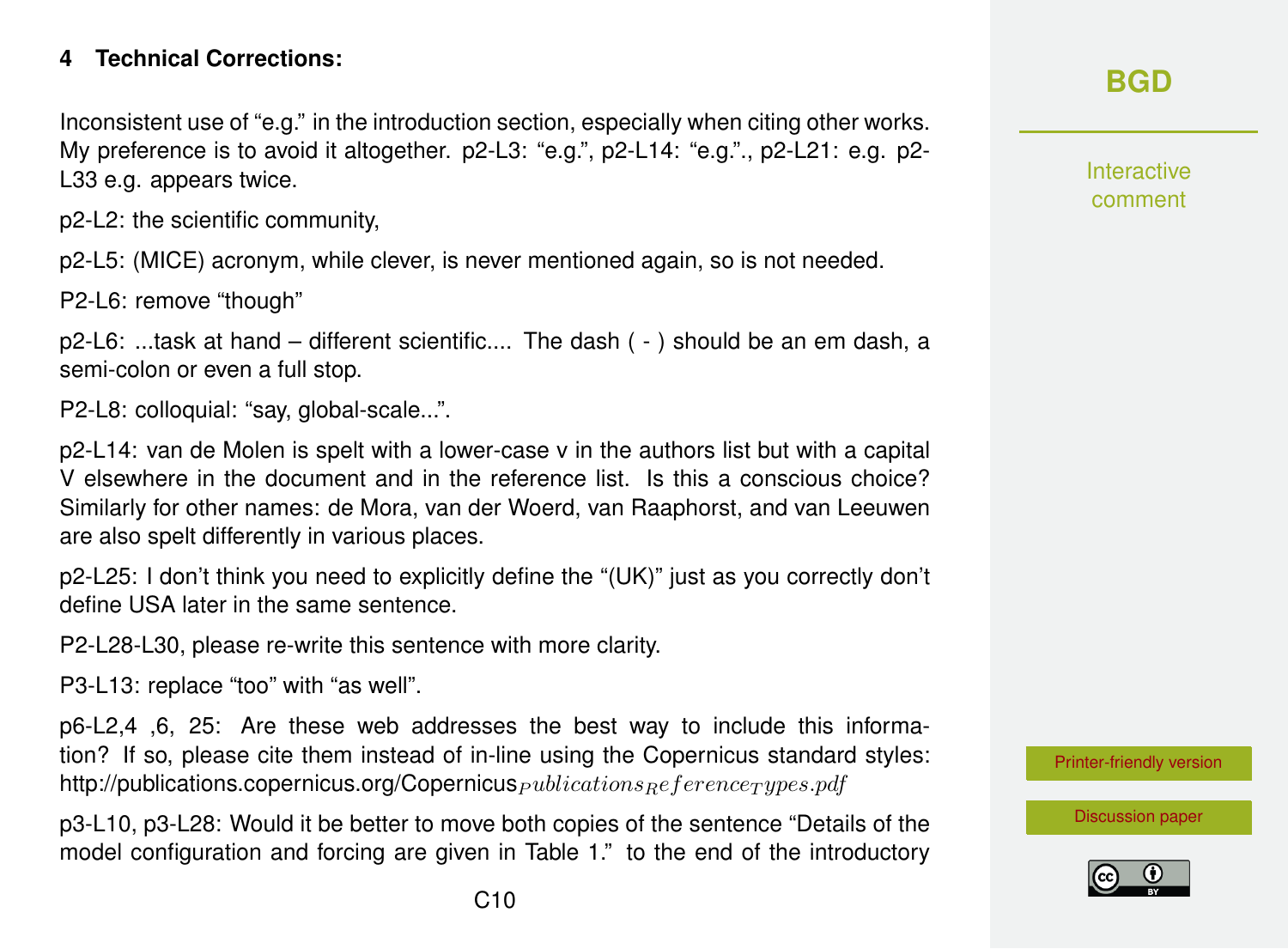#### **4 Technical Corrections:**

Inconsistent use of "e.g." in the introduction section, especially when citing other works. My preference is to avoid it altogether. p2-L3: "e.g.", p2-L14: "e.g."., p2-L21: e.g. p2- L33 e.g. appears twice.

p2-L2: the scientific community,

p2-L5: (MICE) acronym, while clever, is never mentioned again, so is not needed.

P2-L6: remove "though"

p2-L6: ...task at hand – different scientific.... The dash ( - ) should be an em dash, a semi-colon or even a full stop.

P2-L8: colloquial: "say, global-scale...".

p2-L14: van de Molen is spelt with a lower-case v in the authors list but with a capital V elsewhere in the document and in the reference list. Is this a conscious choice? Similarly for other names: de Mora, van der Woerd, van Raaphorst, and van Leeuwen are also spelt differently in various places.

p2-L25: I don't think you need to explicitly define the "(UK)" just as you correctly don't define USA later in the same sentence.

P2-L28-L30, please re-write this sentence with more clarity.

P3-L13: replace "too" with "as well".

p6-L2,4 ,6, 25: Are these web addresses the best way to include this information? If so, please cite them instead of in-line using the Copernicus standard styles: http://publications.copernicus.org/Copernicus  $_{publicationsReferenceTypes.pdf$ 

p3-L10, p3-L28: Would it be better to move both copies of the sentence "Details of the model configuration and forcing are given in Table 1." to the end of the introductory Interactive comment

[Printer-friendly version](http://www.biogeosciences-discuss.net/bg-2016-304/bg-2016-304-RC3-print.pdf)

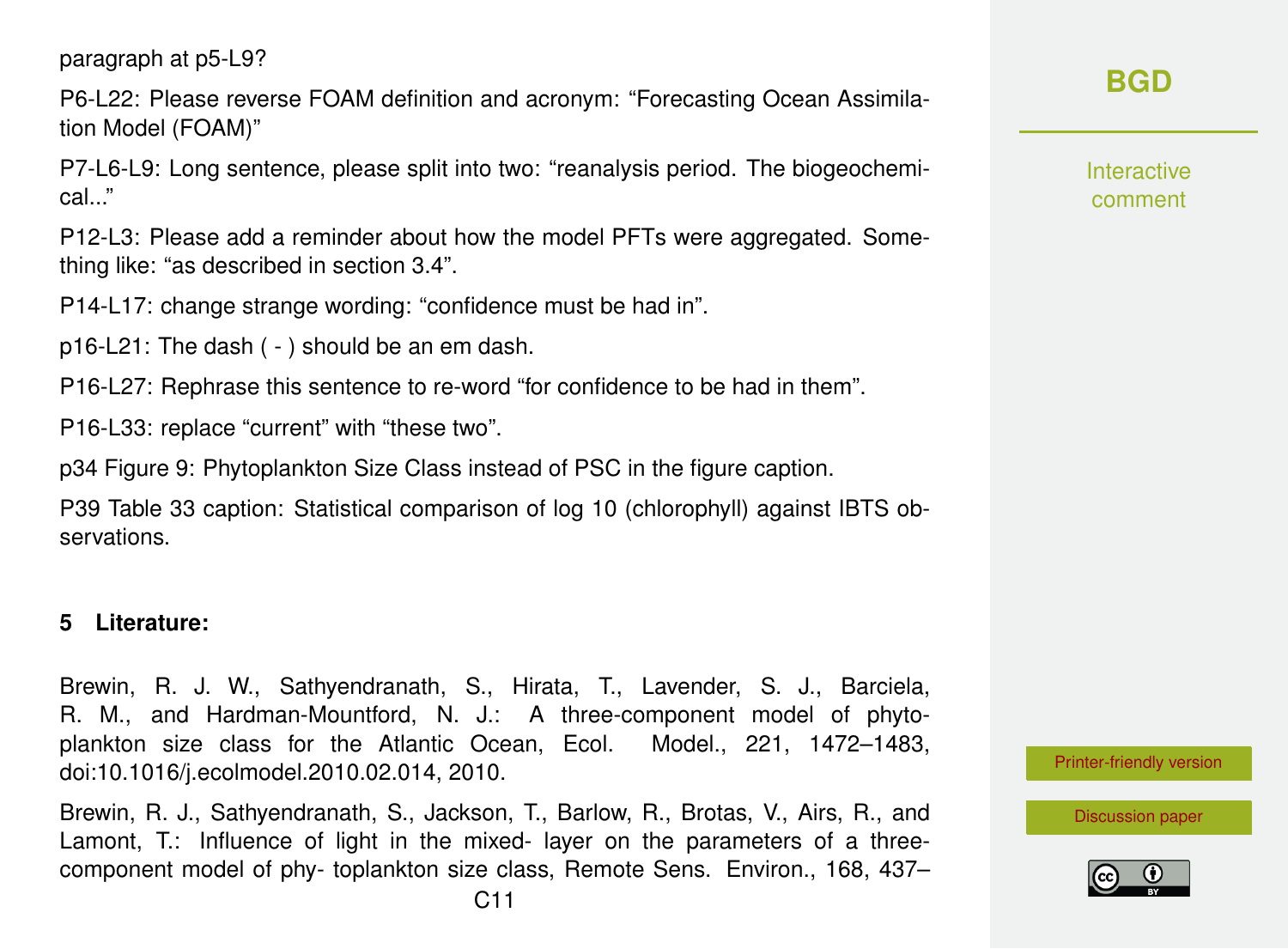paragraph at p5-L9?

P6-L22: Please reverse FOAM definition and acronym: "Forecasting Ocean Assimilation Model (FOAM)"

P7-L6-L9: Long sentence, please split into two: "reanalysis period. The biogeochemical..."

P12-L3: Please add a reminder about how the model PFTs were aggregated. Something like: "as described in section 3.4".

P14-L17: change strange wording: "confidence must be had in".

p16-L21: The dash ( - ) should be an em dash.

P16-L27: Rephrase this sentence to re-word "for confidence to be had in them".

P16-L33: replace "current" with "these two".

p34 Figure 9: Phytoplankton Size Class instead of PSC in the figure caption.

P39 Table 33 caption: Statistical comparison of log 10 (chlorophyll) against IBTS observations.

#### **5 Literature:**

Brewin, R. J. W., Sathyendranath, S., Hirata, T., Lavender, S. J., Barciela, R. M., and Hardman-Mountford, N. J.: A three-component model of phytoplankton size class for the Atlantic Ocean, Ecol. Model., 221, 1472–1483, doi:10.1016/j.ecolmodel.2010.02.014, 2010.

Brewin, R. J., Sathyendranath, S., Jackson, T., Barlow, R., Brotas, V., Airs, R., and Lamont, T.: Influence of light in the mixed- layer on the parameters of a threecomponent model of phy- toplankton size class, Remote Sens. Environ., 168, 437– Interactive comment

[Printer-friendly version](http://www.biogeosciences-discuss.net/bg-2016-304/bg-2016-304-RC3-print.pdf)